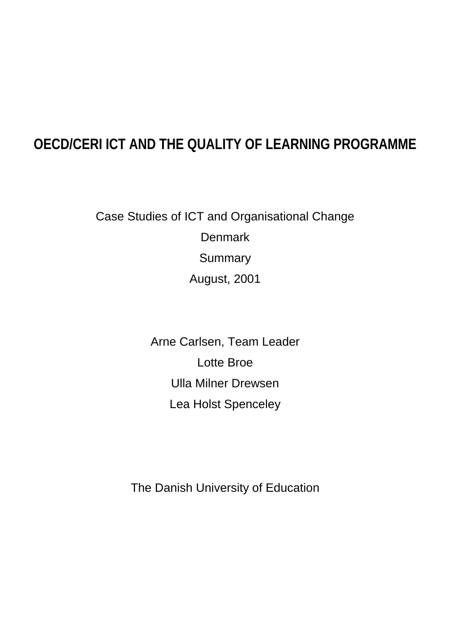## **OECD/CERI ICT AND THE QUALITY OF LEARNING PROGRAMME**

Case Studies of ICT and Organisational Change **Denmark Summary** August, 2001

> Arne Carlsen, Team Leader Lotte Broe Ulla Milner Drewsen Lea Holst Spenceley

The Danish University of Education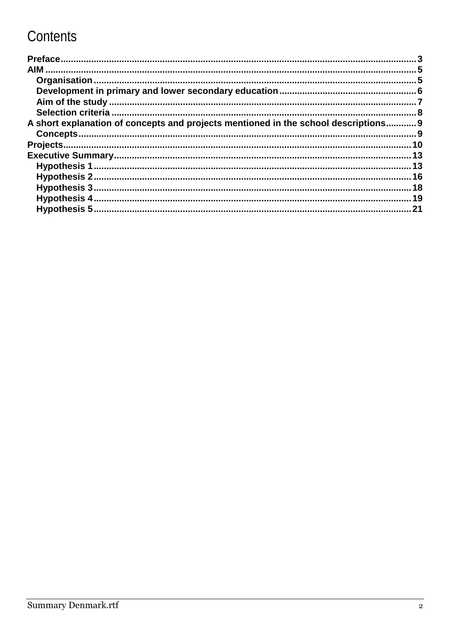# Contents

| A short explanation of concepts and projects mentioned in the school descriptions 9 |     |
|-------------------------------------------------------------------------------------|-----|
|                                                                                     |     |
|                                                                                     |     |
|                                                                                     |     |
|                                                                                     |     |
|                                                                                     |     |
|                                                                                     | .18 |
|                                                                                     |     |
|                                                                                     | 21  |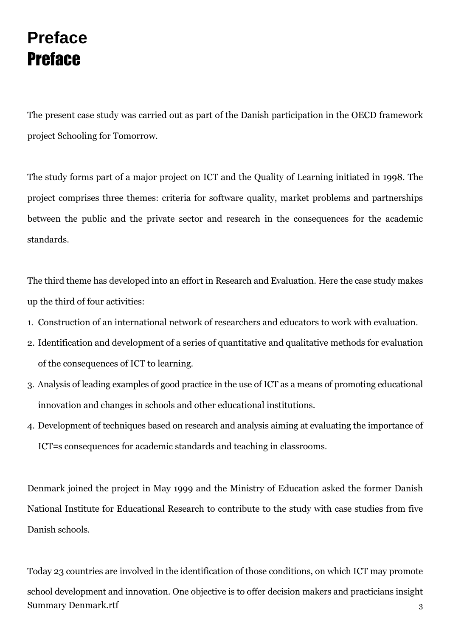# **Preface Preface**

The present case study was carried out as part of the Danish participation in the OECD framework project Schooling for Tomorrow.

The study forms part of a major project on ICT and the Quality of Learning initiated in 1998. The project comprises three themes: criteria for software quality, market problems and partnerships between the public and the private sector and research in the consequences for the academic standards.

The third theme has developed into an effort in Research and Evaluation. Here the case study makes up the third of four activities:

- 1. Construction of an international network of researchers and educators to work with evaluation.
- 2. Identification and development of a series of quantitative and qualitative methods for evaluation of the consequences of ICT to learning.
- 3. Analysis of leading examples of good practice in the use of ICT as a means of promoting educational innovation and changes in schools and other educational institutions.
- 4. Development of techniques based on research and analysis aiming at evaluating the importance of ICT=s consequences for academic standards and teaching in classrooms.

Denmark joined the project in May 1999 and the Ministry of Education asked the former Danish National Institute for Educational Research to contribute to the study with case studies from five Danish schools.

Today 23 countries are involved in the identification of those conditions, on which ICT may promote school development and innovation. One objective is to offer decision makers and practicians insight **Summary Denmark.rtf** 3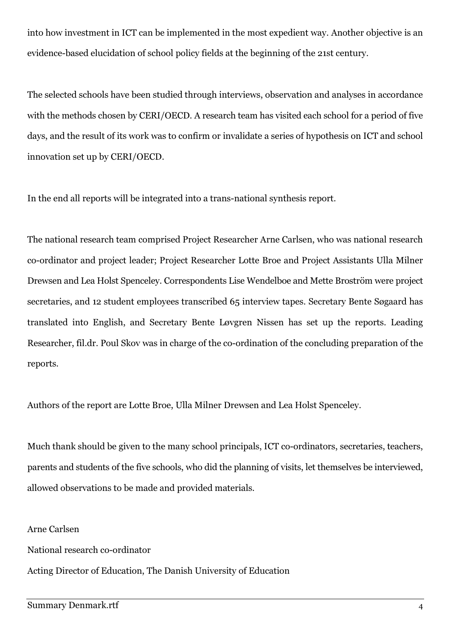into how investment in ICT can be implemented in the most expedient way. Another objective is an evidence-based elucidation of school policy fields at the beginning of the 21st century.

The selected schools have been studied through interviews, observation and analyses in accordance with the methods chosen by CERI/OECD. A research team has visited each school for a period of five days, and the result of its work was to confirm or invalidate a series of hypothesis on ICT and school innovation set up by CERI/OECD.

In the end all reports will be integrated into a trans-national synthesis report.

The national research team comprised Project Researcher Arne Carlsen, who was national research co-ordinator and project leader; Project Researcher Lotte Broe and Project Assistants Ulla Milner Drewsen and Lea Holst Spenceley. Correspondents Lise Wendelboe and Mette Broström were project secretaries, and 12 student employees transcribed 65 interview tapes. Secretary Bente Søgaard has translated into English, and Secretary Bente Løygren Nissen has set up the reports. Leading Researcher, fil.dr. Poul Skov was in charge of the co-ordination of the concluding preparation of the reports.

Authors of the report are Lotte Broe, Ulla Milner Drewsen and Lea Holst Spenceley.

Much thank should be given to the many school principals, ICT co-ordinators, secretaries, teachers, parents and students of the five schools, who did the planning of visits, let themselves be interviewed, allowed observations to be made and provided materials.

Arne Carlsen

National research co-ordinator

Acting Director of Education, The Danish University of Education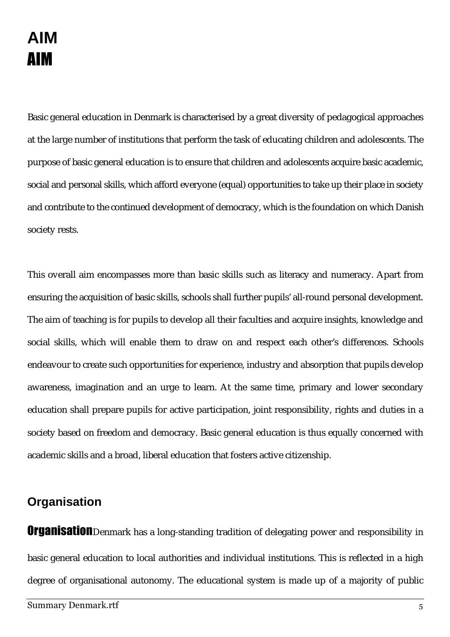# **AIM AIM**

Basic general education in Denmark is characterised by a great diversity of pedagogical approaches at the large number of institutions that perform the task of educating children and adolescents. The purpose of basic general education is to ensure that children and adolescents acquire basic academic, social and personal skills, which afford everyone (equal) opportunities to take up their place in society and contribute to the continued development of democracy, which is the foundation on which Danish society rests.

This overall aim encompasses more than basic skills such as literacy and numeracy. Apart from ensuring the acquisition of basic skills, schools shall further pupils' all-round personal development. The aim of teaching is for pupils to develop all their faculties and acquire insights, knowledge and social skills, which will enable them to draw on and respect each other's differences. Schools endeavour to create such opportunities for experience, industry and absorption that pupils develop awareness, imagination and an urge to learn. At the same time, primary and lower secondary education shall prepare pupils for active participation, joint responsibility, rights and duties in a society based on freedom and democracy. Basic general education is thus equally concerned with academic skills and a broad, liberal education that fosters active citizenship.

### **Organisation**

Organisation Denmark has a long-standing tradition of delegating power and responsibility in basic general education to local authorities and individual institutions. This is reflected in a high degree of organisational autonomy. The educational system is made up of a majority of public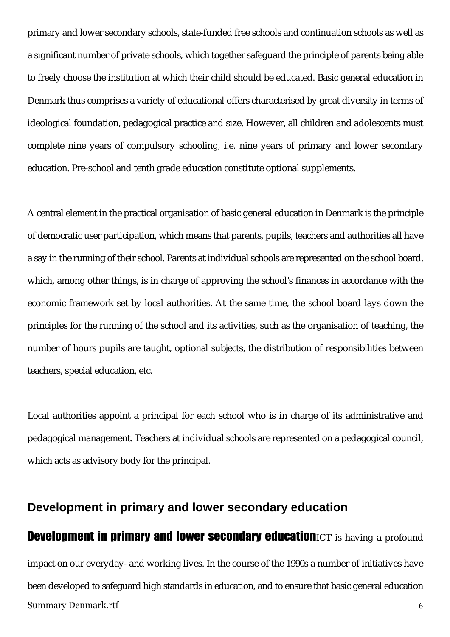primary and lower secondary schools, state-funded free schools and continuation schools as well as a significant number of private schools, which together safeguard the principle of parents being able to freely choose the institution at which their child should be educated. Basic general education in Denmark thus comprises a variety of educational offers characterised by great diversity in terms of ideological foundation, pedagogical practice and size. However, all children and adolescents must complete nine years of compulsory schooling, i.e. nine years of primary and lower secondary education. Pre-school and tenth grade education constitute optional supplements.

A central element in the practical organisation of basic general education in Denmark is the principle of democratic user participation, which means that parents, pupils, teachers and authorities all have a say in the running of their school. Parents at individual schools are represented on the school board, which, among other things, is in charge of approving the school's finances in accordance with the economic framework set by local authorities. At the same time, the school board lays down the principles for the running of the school and its activities, such as the organisation of teaching, the number of hours pupils are taught, optional subjects, the distribution of responsibilities between teachers, special education, etc.

Local authorities appoint a principal for each school who is in charge of its administrative and pedagogical management. Teachers at individual schools are represented on a pedagogical council, which acts as advisory body for the principal.

## Summary Den mark.rtf the contract of the contract of the contract of the contract of the contract of the contract of the contract of the contract of the contract of the contract of the contract of the contract of the contract of the c **Development in primary and lower secondary education Development in primary and lower secondary education**ICT is having a profound impact on our everyday- and working lives. In the course of the 1990s a number of initiatives have been developed to safeguard high standards in education, and to ensure that basic general education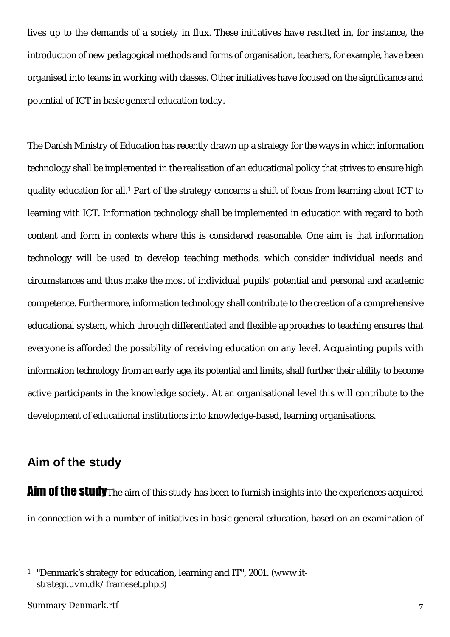lives up to the demands of a society in flux. These initiatives have resulted in, for instance, the introduction of new pedagogical methods and forms of organisation, teachers, for example, have been organised into teams in working with classes. Other initiatives have focused on the significance and potential of ICT in basic general education today.

The Danish Ministry of Education has recently drawn up a strategy for the ways in which information technology shall be implemented in the realisation of an educational policy that strives to ensure high quality education for all.1 Part of the strategy concerns a shift of focus from learning *about* ICT to learning *with* ICT. Information technology shall be implemented in education with regard to both content and form in contexts where this is considered reasonable. One aim is that information technology will be used to develop teaching methods, which consider individual needs and circumstances and thus make the most of individual pupils' potential and personal and academic competence. Furthermore, information technology shall contribute to the creation of a comprehensive educational system, which through differentiated and flexible approaches to teaching ensures that everyone is afforded the possibility of receiving education on any level. Acquainting pupils with information technology from an early age, its potential and limits, shall further their ability to become active participants in the knowledge society. At an organisational level this will contribute to the development of educational institutions into knowledge-based, learning organisations.

#### **Aim of the study**

Aim of the study The aim of this study has been to furnish insights into the experiences acquired in connection with a number of initiatives in basic general education, based on an examination of

<sup>&</sup>lt;sup>1</sup> "Denmark's strategy for education, learning and IT", 2001. (www.itstrategi.uvm.dk/frameset.php3)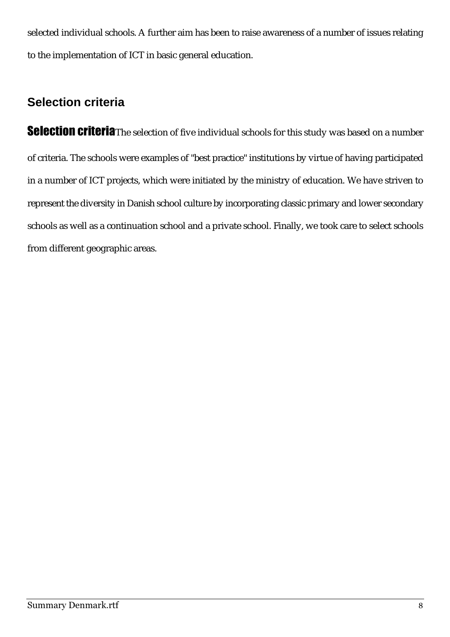selected individual schools. A further aim has been to raise awareness of a number of issues relating to the implementation of ICT in basic general education.

### **Selection criteria**

**Selection criteria**The selection of five individual schools for this study was based on a number of criteria. The schools were examples of "best practice" institutions by virtue of having participated in a number of ICT projects, which were initiated by the ministry of education. We have striven to represent the diversity in Danish school culture by incorporating classic primary and lower secondary schools as well as a continuation school and a private school. Finally, we took care to select schools from different geographic areas.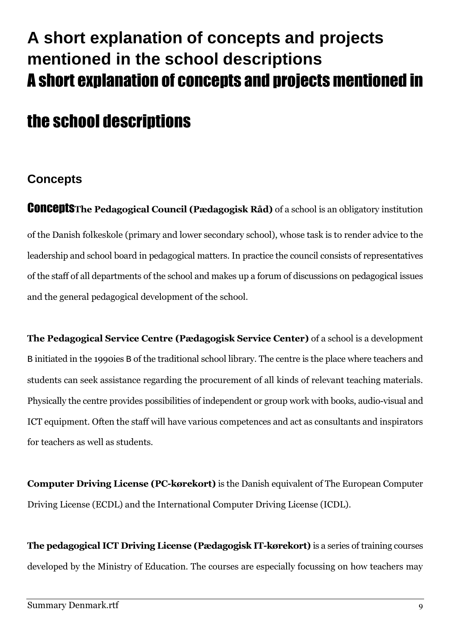# A short explanation of concepts and projects mentioned in the school descriptions A short explanation of concepts and projects mentioned in

# the school descriptions

### **Concepts**

**CONCEPTS** The Pedagogical Council (Pædagogisk Råd) of a school is an obligatory institution of the Danish folkeskole (primary and lower secondary school), whose task is to render advice to the leadership and school board in pedagogical matters. In practice the council consists of representatives of the staff of all departments of the school and makes up a forum of discussions on pedagogical issues and the general pedagogical development of the school.

The Pedagogical Service Centre (Pædagogisk Service Center) of a school is a development B initiated in the 1990ies B of the traditional school library. The centre is the place where teachers and students can seek assistance regarding the procurement of all kinds of relevant teaching materials. Physically the centre provides possibilities of independent or group work with books, audio-visual and ICT equipment. Often the staff will have various competences and act as consultants and inspirators for teachers as well as students.

**Computer Driving License (PC-kørekort)** is the Danish equivalent of The European Computer Driving License (ECDL) and the International Computer Driving License (ICDL).

The pedagogical ICT Driving License (Pædagogisk IT-kørekort) is a series of training courses developed by the Ministry of Education. The courses are especially focussing on how teachers may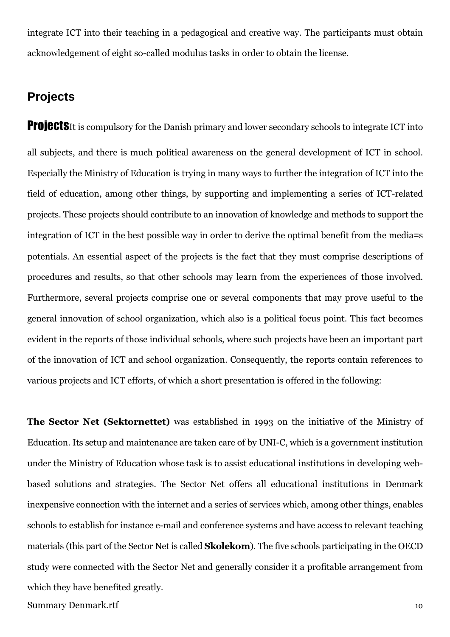integrate ICT into their teaching in a pedagogical and creative way. The participants must obtain acknowledgement of eight so-called modulus tasks in order to obtain the license.

#### **Projects**

**Proiects**It is compulsory for the Danish primary and lower secondary schools to integrate ICT into all subjects, and there is much political awareness on the general development of ICT in school. Especially the Ministry of Education is trying in many ways to further the integration of ICT into the field of education, among other things, by supporting and implementing a series of ICT-related projects. These projects should contribute to an innovation of knowledge and methods to support the integration of ICT in the best possible way in order to derive the optimal benefit from the media=s potentials. An essential aspect of the projects is the fact that they must comprise descriptions of procedures and results, so that other schools may learn from the experiences of those involved. Furthermore, several projects comprise one or several components that may prove useful to the general innovation of school organization, which also is a political focus point. This fact becomes evident in the reports of those individual schools, where such projects have been an important part of the innovation of ICT and school organization. Consequently, the reports contain references to various projects and ICT efforts, of which a short presentation is offered in the following:

The Sector Net (Sektornettet) was established in 1993 on the initiative of the Ministry of Education. Its setup and maintenance are taken care of by UNI-C, which is a government institution under the Ministry of Education whose task is to assist educational institutions in developing webbased solutions and strategies. The Sector Net offers all educational institutions in Denmark inexpensive connection with the internet and a series of services which, among other things, enables schools to establish for instance e-mail and conference systems and have access to relevant teaching materials (this part of the Sector Net is called **Skolekom**). The five schools participating in the OECD study were connected with the Sector Net and generally consider it a profitable arrangement from which they have benefited greatly.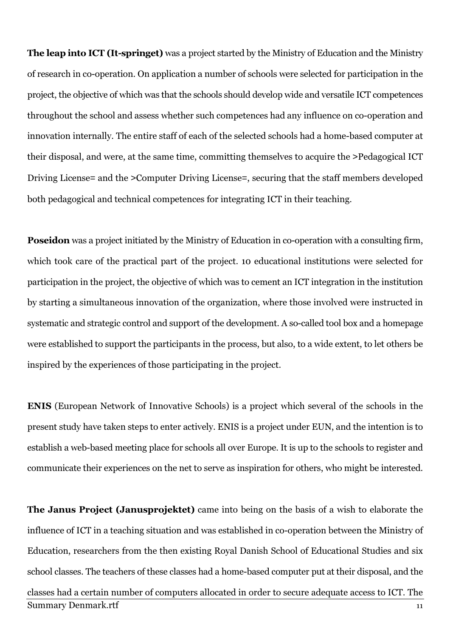The leap into ICT (It-springet) was a project started by the Ministry of Education and the Ministry of research in co-operation. On application a number of schools were selected for participation in the project, the objective of which was that the schools should develop wide and versatile ICT competences throughout the school and assess whether such competences had any influence on co-operation and innovation internally. The entire staff of each of the selected schools had a home-based computer at their disposal, and were, at the same time, committing themselves to acquire the >Pedagogical ICT Driving License= and the >Computer Driving License=, securing that the staff members developed both pedagogical and technical competences for integrating ICT in their teaching.

**Poseidon** was a project initiated by the Ministry of Education in co-operation with a consulting firm, which took care of the practical part of the project. 10 educational institutions were selected for participation in the project, the objective of which was to cement an ICT integration in the institution by starting a simultaneous innovation of the organization, where those involved were instructed in systematic and strategic control and support of the development. A so-called tool box and a homepage were established to support the participants in the process, but also, to a wide extent, to let others be inspired by the experiences of those participating in the project.

**ENIS** (European Network of Innovative Schools) is a project which several of the schools in the present study have taken steps to enter actively. ENIS is a project under EUN, and the intention is to establish a web-based meeting place for schools all over Europe. It is up to the schools to register and communicate their experiences on the net to serve as inspiration for others, who might be interested.

The Janus Project (Janusprojektet) came into being on the basis of a wish to elaborate the influence of ICT in a teaching situation and was established in co-operation between the Ministry of Education, researchers from the then existing Royal Danish School of Educational Studies and six school classes. The teachers of these classes had a home-based computer put at their disposal, and the classes had a certain number of computers allocated in order to secure adequate access to ICT. The **Summary Denmark.rtf**  $11$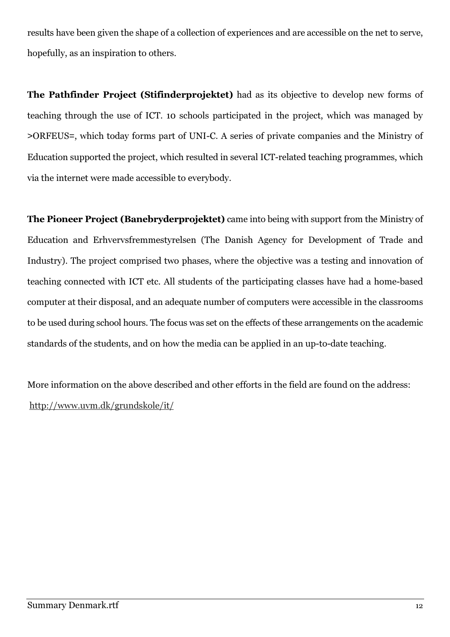results have been given the shape of a collection of experiences and are accessible on the net to serve, hopefully, as an inspiration to others.

The Pathfinder Project (Stifinderprojektet) had as its objective to develop new forms of teaching through the use of ICT. 10 schools participated in the project, which was managed by >ORFEUS=, which today forms part of UNI-C. A series of private companies and the Ministry of Education supported the project, which resulted in several ICT-related teaching programmes, which via the internet were made accessible to everybody.

The Pioneer Project (Banebryderprojektet) came into being with support from the Ministry of Education and Erhvervsfremmestyrelsen (The Danish Agency for Development of Trade and Industry). The project comprised two phases, where the objective was a testing and innovation of teaching connected with ICT etc. All students of the participating classes have had a home-based computer at their disposal, and an adequate number of computers were accessible in the classrooms to be used during school hours. The focus was set on the effects of these arrangements on the academic standards of the students, and on how the media can be applied in an up-to-date teaching.

More information on the above described and other efforts in the field are found on the address: http://www.uvm.dk/grundskole/it/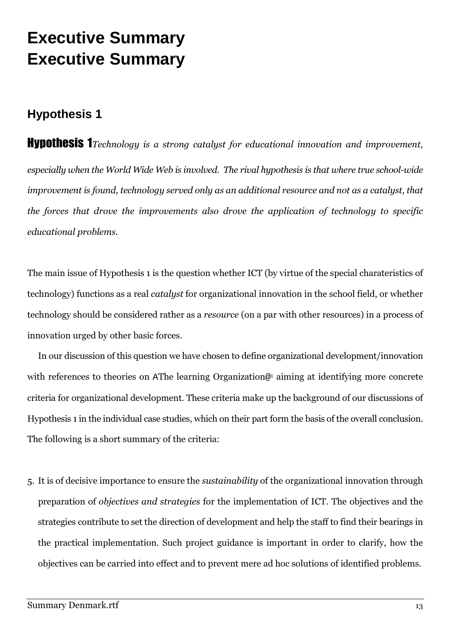# **Executive Summary Executive Summary**

### **Hypothesis 1**

**Hypothesis 1** Technology is a strong catalyst for educational innovation and improvement, especially when the World Wide Web is involved. The rival hypothesis is that where true school-wide improvement is found, technology served only as an additional resource and not as a catalyst, that the forces that drove the improvements also drove the application of technology to specific educational problems.

The main issue of Hypothesis 1 is the question whether ICT (by virtue of the special charateristics of technology) functions as a real *catalyst* for organizational innovation in the school field, or whether technology should be considered rather as a *resource* (on a par with other resources) in a process of innovation urged by other basic forces.

In our discussion of this question we have chosen to define organizational development/innovation with references to theories on AThe learning Organization<sup>®1</sup> aiming at identifying more concrete criteria for organizational development. These criteria make up the background of our discussions of Hypothesis 1 in the individual case studies, which on their part form the basis of the overall conclusion. The following is a short summary of the criteria:

5. It is of decisive importance to ensure the *sustainability* of the organizational innovation through preparation of *objectives and strategies* for the implementation of ICT. The objectives and the strategies contribute to set the direction of development and help the staff to find their bearings in the practical implementation. Such project guidance is important in order to clarify, how the objectives can be carried into effect and to prevent mere ad hoc solutions of identified problems.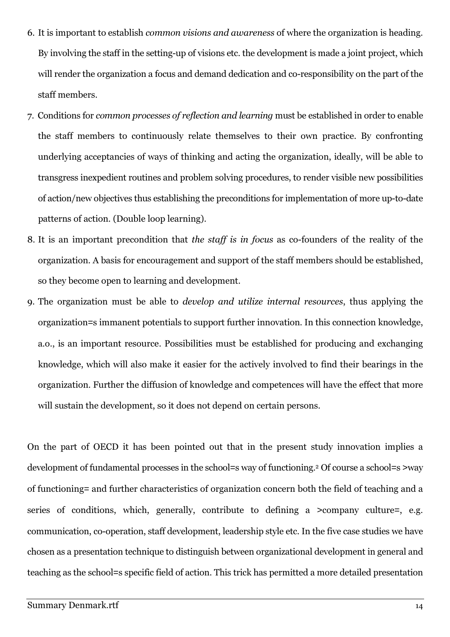- 6. It is important to establish *common visions and awareness* of where the organization is heading. By involving the staff in the setting-up of visions etc. the development is made a joint project, which will render the organization a focus and demand dedication and co-responsibility on the part of the staff members.
- 7. Conditions for *common processes of reflection and learning* must be established in order to enable the staff members to continuously relate themselves to their own practice. By confronting underlying acceptancies of ways of thinking and acting the organization, ideally, will be able to transgress inexpedient routines and problem solving procedures, to render visible new possibilities of action/new objectives thus establishing the preconditions for implementation of more up-to-date patterns of action. (Double loop learning).
- 8. It is an important precondition that the staff is in focus as co-founders of the reality of the organization. A basis for encouragement and support of the staff members should be established, so they become open to learning and development.
- 9. The organization must be able to *develop and utilize internal resources*, thus applying the organization = s immanent potentials to support further innovation. In this connection knowledge, a.o., is an important resource. Possibilities must be established for producing and exchanging knowledge, which will also make it easier for the actively involved to find their bearings in the organization. Further the diffusion of knowledge and competences will have the effect that more will sustain the development, so it does not depend on certain persons.

On the part of OECD it has been pointed out that in the present study innovation implies a development of fundamental processes in the school=s way of functioning.<sup>2</sup> Of course a school=s >way of functioning = and further characteristics of organization concern both the field of teaching and a series of conditions, which, generally, contribute to defining a >company culture=, e.g. communication, co-operation, staff development, leadership style etc. In the five case studies we have chosen as a presentation technique to distinguish between organizational development in general and teaching as the school=s specific field of action. This trick has permitted a more detailed presentation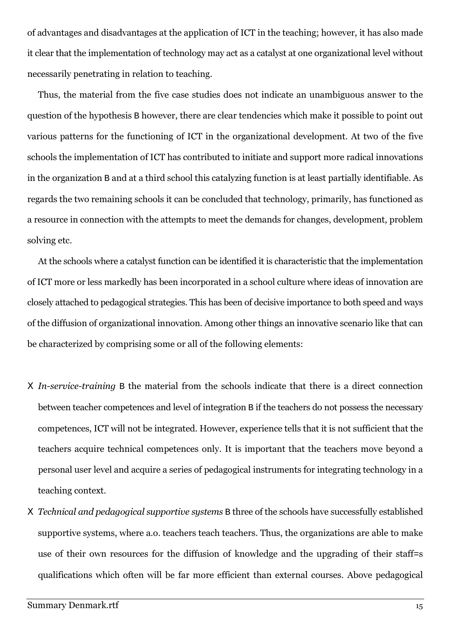of advantages and disadvantages at the application of ICT in the teaching; however, it has also made it clear that the implementation of technology may act as a catalyst at one organizational level without necessarily penetrating in relation to teaching.

Thus, the material from the five case studies does not indicate an unambiguous answer to the question of the hypothesis B however, there are clear tendencies which make it possible to point out various patterns for the functioning of ICT in the organizational development. At two of the five schools the implementation of ICT has contributed to initiate and support more radical innovations in the organization B and at a third school this catalyzing function is at least partially identifiable. As regards the two remaining schools it can be concluded that technology, primarily, has functioned as a resource in connection with the attempts to meet the demands for changes, development, problem solving etc.

At the schools where a catalyst function can be identified it is characteristic that the implementation of ICT more or less markedly has been incorporated in a school culture where ideas of innovation are closely attached to pedagogical strategies. This has been of decisive importance to both speed and ways of the diffusion of organizational innovation. Among other things an innovative scenario like that can be characterized by comprising some or all of the following elements:

- X In-service-training B the material from the schools indicate that there is a direct connection between teacher competences and level of integration B if the teachers do not possess the necessary competences, ICT will not be integrated. However, experience tells that it is not sufficient that the teachers acquire technical competences only. It is important that the teachers move beyond a personal user level and acquire a series of pedagogical instruments for integrating technology in a teaching context.
- X Technical and pedagogical supportive systems B three of the schools have successfully established supportive systems, where a.o. teachers teach teachers. Thus, the organizations are able to make use of their own resources for the diffusion of knowledge and the upgrading of their staff-s qualifications which often will be far more efficient than external courses. Above pedagogical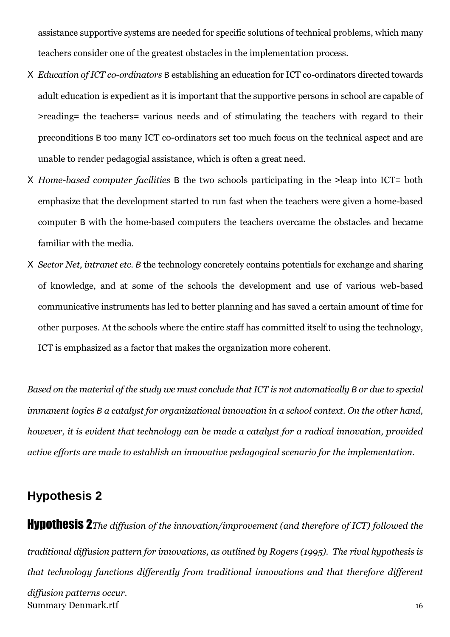assistance supportive systems are needed for specific solutions of technical problems, which many teachers consider one of the greatest obstacles in the implementation process.

- X Education of ICT co-ordinators B establishing an education for ICT co-ordinators directed towards adult education is expedient as it is important that the supportive persons in school are capable of >reading= the teachers= various needs and of stimulating the teachers with regard to their preconditions B too many ICT co-ordinators set too much focus on the technical aspect and are unable to render pedagogial assistance, which is often a great need.
- X Home-based computer facilities B the two schools participating in the >leap into ICT= both emphasize that the development started to run fast when the teachers were given a home-based computer B with the home-based computers the teachers overcame the obstacles and became familiar with the media.
- X Sector Net, intranet etc. B the technology concretely contains potentials for exchange and sharing of knowledge, and at some of the schools the development and use of various web-based communicative instruments has led to better planning and has saved a certain amount of time for other purposes. At the schools where the entire staff has committed itself to using the technology, ICT is emphasized as a factor that makes the organization more coherent.

Based on the material of the study we must conclude that ICT is not automatically B or due to special immanent logics B a catalyst for organizational innovation in a school context. On the other hand, however, it is evident that technology can be made a catalyst for a radical innovation, provided active efforts are made to establish an innovative pedagogical scenario for the implementation.

#### **Hypothesis 2**

**Hynothesis 2**The diffusion of the innovation/improvement (and therefore of ICT) followed the traditional diffusion pattern for innovations, as outlined by Rogers (1995). The rival hypothesis is that technology functions differently from traditional innovations and that therefore different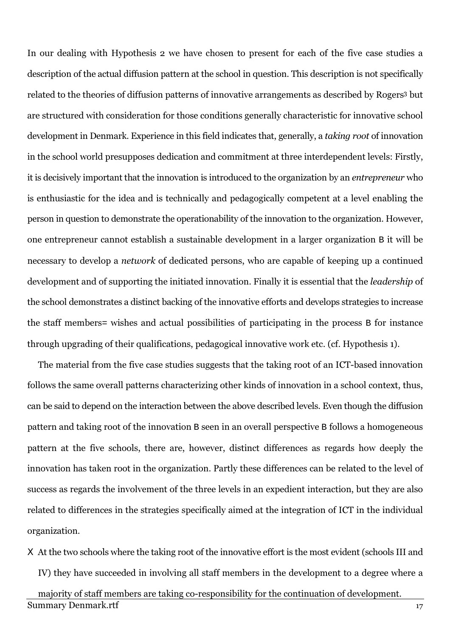In our dealing with Hypothesis 2 we have chosen to present for each of the five case studies a description of the actual diffusion pattern at the school in question. This description is not specifically related to the theories of diffusion patterns of innovative arrangements as described by Rogers<sup>3</sup> but are structured with consideration for those conditions generally characteristic for innovative school development in Denmark. Experience in this field indicates that, generally, a *taking root* of innovation in the school world presupposes dedication and commitment at three interdependent levels: Firstly, it is decisively important that the innovation is introduced to the organization by an *entrepreneur* who is enthusiastic for the idea and is technically and pedagogically competent at a level enabling the person in question to demonstrate the operationability of the innovation to the organization. However, one entrepreneur cannot establish a sustainable development in a larger organization B it will be necessary to develop a *network* of dedicated persons, who are capable of keeping up a continued development and of supporting the initiated innovation. Finally it is essential that the *leadership* of the school demonstrates a distinct backing of the innovative efforts and develops strategies to increase the staff members= wishes and actual possibilities of participating in the process B for instance through upgrading of their qualifications, pedagogical innovative work etc. (cf. Hypothesis 1).

The material from the five case studies suggests that the taking root of an ICT-based innovation follows the same overall patterns characterizing other kinds of innovation in a school context, thus, can be said to depend on the interaction between the above described levels. Even though the diffusion pattern and taking root of the innovation B seen in an overall perspective B follows a homogeneous pattern at the five schools, there are, however, distinct differences as regards how deeply the innovation has taken root in the organization. Partly these differences can be related to the level of success as regards the involvement of the three levels in an expedient interaction, but they are also related to differences in the strategies specifically aimed at the integration of ICT in the individual organization.

X At the two schools where the taking root of the innovative effort is the most evident (schools III and IV) they have succeeded in involving all staff members in the development to a degree where a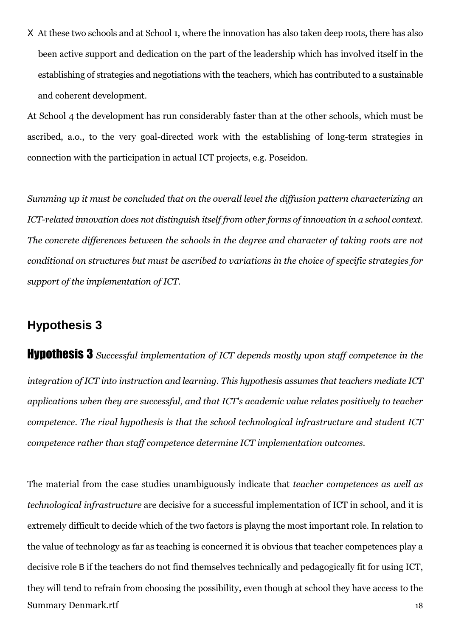X At these two schools and at School 1, where the innovation has also taken deep roots, there has also been active support and dedication on the part of the leadership which has involved itself in the establishing of strategies and negotiations with the teachers, which has contributed to a sustainable and coherent development.

At School 4 the development has run considerably faster than at the other schools, which must be ascribed, a.o., to the very goal-directed work with the establishing of long-term strategies in connection with the participation in actual ICT projects, e.g. Poseidon.

Summing up it must be concluded that on the overall level the diffusion pattern characterizing an ICT-related innovation does not distinguish itself from other forms of innovation in a school context. The concrete differences between the schools in the degree and character of taking roots are not conditional on structures but must be ascribed to variations in the choice of specific strategies for support of the implementation of ICT.

#### **Hypothesis 3**

**Hypothesis 3** Successful implementation of ICT depends mostly upon staff competence in the integration of ICT into instruction and learning. This hypothesis assumes that teachers mediate ICT applications when they are successful, and that ICT's academic value relates positively to teacher competence. The rival hypothesis is that the school technological infrastructure and student ICT competence rather than staff competence determine ICT implementation outcomes.

The material from the case studies unambiguously indicate that *teacher competences as well as technological infrastructure* are decisive for a successful implementation of ICT in school, and it is extremely difficult to decide which of the two factors is playng the most important role. In relation to the value of technology as far as teaching is concerned it is obvious that teacher competences play a decisive role B if the teachers do not find themselves technically and pedagogically fit for using ICT. they will tend to refrain from choosing the possibility, even though at school they have access to the **Summary Denmark.rtf** 18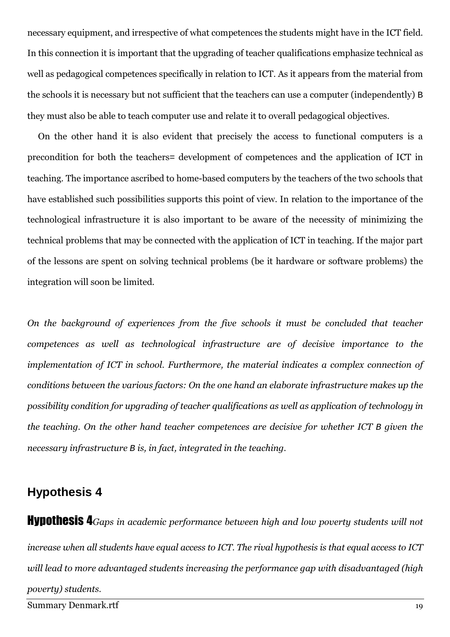necessary equipment, and irrespective of what competences the students might have in the ICT field. In this connection it is important that the upgrading of teacher qualifications emphasize technical as well as pedagogical competences specifically in relation to ICT. As it appears from the material from the schools it is necessary but not sufficient that the teachers can use a computer (independently) B they must also be able to teach computer use and relate it to overall pedagogical objectives.

On the other hand it is also evident that precisely the access to functional computers is a precondition for both the teachers= development of competences and the application of ICT in teaching. The importance ascribed to home-based computers by the teachers of the two schools that have established such possibilities supports this point of view. In relation to the importance of the technological infrastructure it is also important to be aware of the necessity of minimizing the technical problems that may be connected with the application of ICT in teaching. If the major part of the lessons are spent on solving technical problems (be it hardware or software problems) the integration will soon be limited.

On the background of experiences from the five schools it must be concluded that teacher competences as well as technological infrastructure are of decisive importance to the implementation of ICT in school. Furthermore, the material indicates a complex connection of conditions between the various factors: On the one hand an elaborate infrastructure makes up the possibility condition for upgrading of teacher qualifications as well as application of technology in the teaching. On the other hand teacher competences are decisive for whether ICT B given the necessary infrastructure B is, in fact, integrated in the teaching.

#### **Hypothesis 4**

**Hypothesis 4** Gaps in academic performance between high and low poverty students will not increase when all students have equal access to ICT. The rival hypothesis is that equal access to ICT will lead to more advantaged students increasing the performance gap with disadvantaged (high poverty) students.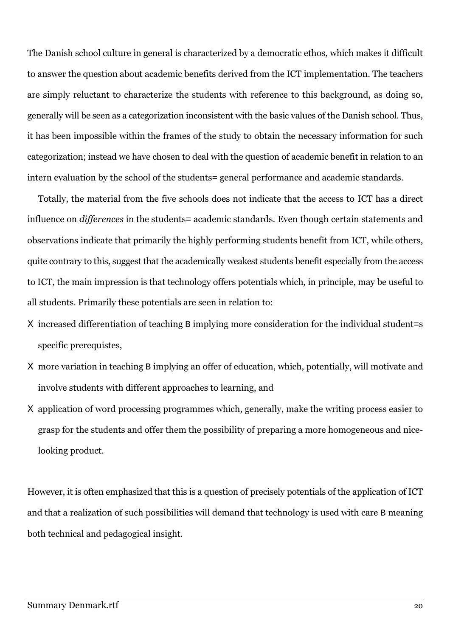The Danish school culture in general is characterized by a democratic ethos, which makes it difficult to answer the question about academic benefits derived from the ICT implementation. The teachers are simply reluctant to characterize the students with reference to this background, as doing so, generally will be seen as a categorization inconsistent with the basic values of the Danish school. Thus, it has been impossible within the frames of the study to obtain the necessary information for such categorization; instead we have chosen to deal with the question of academic benefit in relation to an intern evaluation by the school of the students = general performance and academic standards.

Totally, the material from the five schools does not indicate that the access to ICT has a direct influence on *differences* in the students= academic standards. Even though certain statements and observations indicate that primarily the highly performing students benefit from ICT, while others, quite contrary to this, suggest that the academically weakest students benefit especially from the access to ICT, the main impression is that technology offers potentials which, in principle, may be useful to all students. Primarily these potentials are seen in relation to:

- X increased differentiation of teaching B implying more consideration for the individual student=s specific prerequistes,
- X more variation in teaching B implying an offer of education, which, potentially, will motivate and involve students with different approaches to learning, and
- X application of word processing programmes which, generally, make the writing process easier to grasp for the students and offer them the possibility of preparing a more homogeneous and nicelooking product.

However, it is often emphasized that this is a question of precisely potentials of the application of ICT and that a realization of such possibilities will demand that technology is used with care B meaning both technical and pedagogical insight.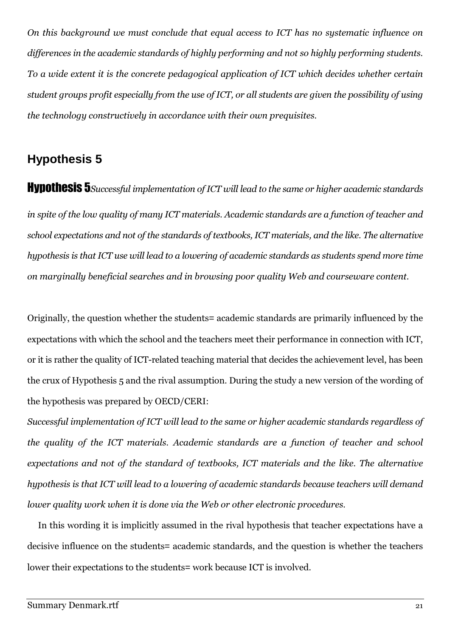On this background we must conclude that equal access to ICT has no systematic influence on differences in the academic standards of highly performing and not so highly performing students. To a wide extent it is the concrete pedagogical application of ICT which decides whether certain student groups profit especially from the use of ICT, or all students are given the possibility of using the technology constructively in accordance with their own prequisites.

## **Hypothesis 5**

**Hypothesis 5** Successful implementation of ICT will lead to the same or higher academic standards in spite of the low quality of many ICT materials. Academic standards are a function of teacher and school expectations and not of the standards of textbooks, ICT materials, and the like. The alternative hypothesis is that ICT use will lead to a lowering of academic standards as students spend more time on marginally beneficial searches and in browsing poor quality Web and courseware content.

Originally, the question whether the students = academic standards are primarily influenced by the expectations with which the school and the teachers meet their performance in connection with ICT. or it is rather the quality of ICT-related teaching material that decides the achievement level, has been the crux of Hypothesis 5 and the rival assumption. During the study a new version of the wording of the hypothesis was prepared by OECD/CERI:

Successful implementation of ICT will lead to the same or higher academic standards regardless of the quality of the ICT materials. Academic standards are a function of teacher and school expectations and not of the standard of textbooks, ICT materials and the like. The alternative hypothesis is that ICT will lead to a lowering of academic standards because teachers will demand lower quality work when it is done via the Web or other electronic procedures.

In this wording it is implicitly assumed in the rival hypothesis that teacher expectations have a decisive influence on the students= academic standards, and the question is whether the teachers lower their expectations to the students= work because ICT is involved.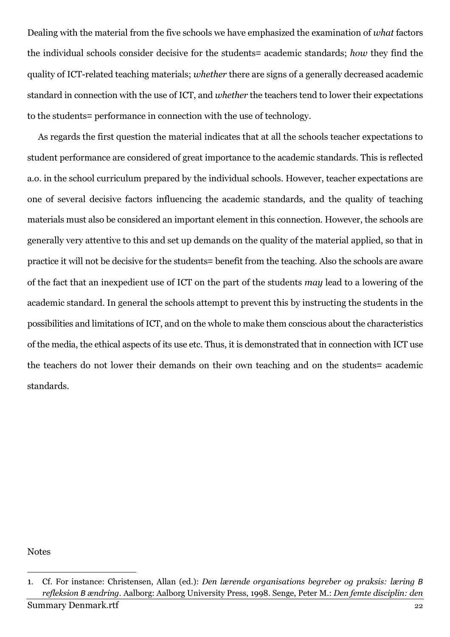Dealing with the material from the five schools we have emphasized the examination of what factors the individual schools consider decisive for the students= academic standards; how they find the quality of ICT-related teaching materials; whether there are signs of a generally decreased academic standard in connection with the use of ICT, and whether the teachers tend to lower their expectations to the students = performance in connection with the use of technology.

As regards the first question the material indicates that at all the schools teacher expectations to student performance are considered of great importance to the academic standards. This is reflected a.o. in the school curriculum prepared by the individual schools. However, teacher expectations are one of several decisive factors influencing the academic standards, and the quality of teaching materials must also be considered an important element in this connection. However, the schools are generally very attentive to this and set up demands on the quality of the material applied, so that in practice it will not be decisive for the students = benefit from the teaching. Also the schools are aware of the fact that an inexpedient use of ICT on the part of the students may lead to a lowering of the academic standard. In general the schools attempt to prevent this by instructing the students in the possibilities and limitations of ICT, and on the whole to make them conscious about the characteristics of the media, the ethical aspects of its use etc. Thus, it is demonstrated that in connection with ICT use the teachers do not lower their demands on their own teaching and on the students= academic standards.

**Notes** 

<sup>1.</sup> Cf. For instance: Christensen, Allan (ed.): Den lærende organisations begreber og praksis: læring B refleksion B ændring. Aalborg: Aalborg University Press, 1998. Senge, Peter M.: Den femte disciplin: den **Summary Denmark.rtf** 22